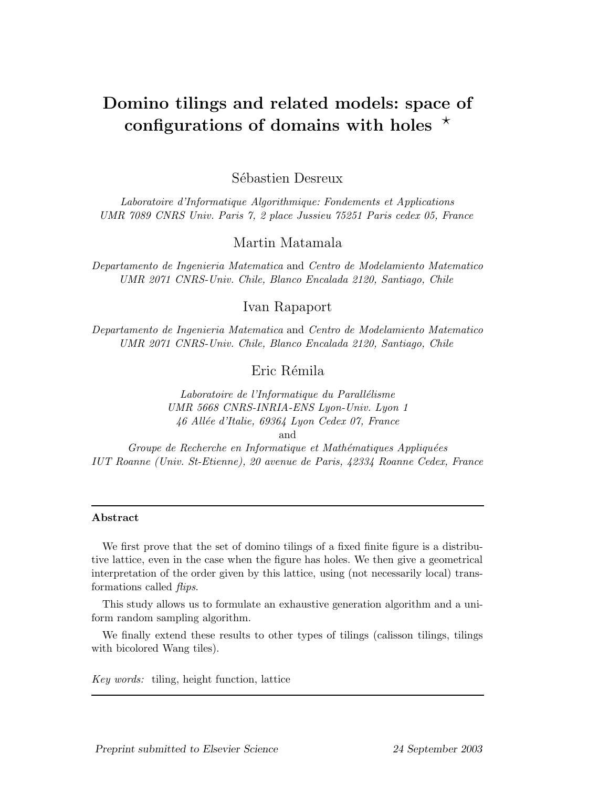# Domino tilings and related models: space of configurations of domains with holes  $\star$

Sébastien Desreux

Laboratoire d'Informatique Algorithmique: Fondements et Applications UMR 7089 CNRS Univ. Paris 7, 2 place Jussieu 75251 Paris cedex 05, France

Martin Matamala

Departamento de Ingenieria Matematica and Centro de Modelamiento Matematico UMR 2071 CNRS-Univ. Chile, Blanco Encalada 2120, Santiago, Chile

# Ivan Rapaport

Departamento de Ingenieria Matematica and Centro de Modelamiento Matematico UMR 2071 CNRS-Univ. Chile, Blanco Encalada 2120, Santiago, Chile

Eric Rémila

Laboratoire de l'Informatique du Parallélisme UMR 5668 CNRS-INRIA-ENS Lyon-Univ. Lyon 1 46 Allée d'Italie, 69364 Lyon Cedex 07, France and

Groupe de Recherche en Informatique et Mathématiques Appliquées IUT Roanne (Univ. St-Etienne), 20 avenue de Paris, 42334 Roanne Cedex, France

#### Abstract

We first prove that the set of domino tilings of a fixed finite figure is a distributive lattice, even in the case when the figure has holes. We then give a geometrical interpretation of the order given by this lattice, using (not necessarily local) transformations called flips.

This study allows us to formulate an exhaustive generation algorithm and a uniform random sampling algorithm.

We finally extend these results to other types of tilings (calisson tilings, tilings with bicolored Wang tiles).

Key words: tiling, height function, lattice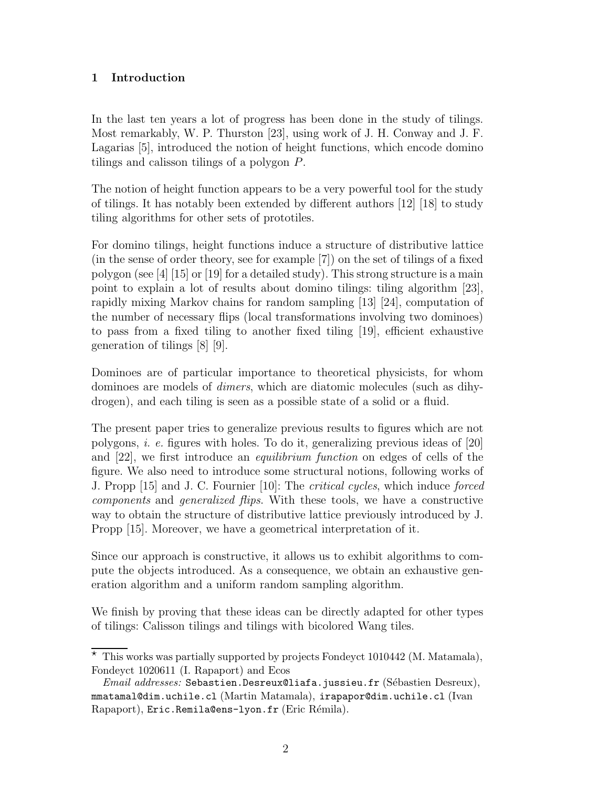# 1 Introduction

In the last ten years a lot of progress has been done in the study of tilings. Most remarkably, W. P. Thurston [23], using work of J. H. Conway and J. F. Lagarias [5], introduced the notion of height functions, which encode domino tilings and calisson tilings of a polygon P.

The notion of height function appears to be a very powerful tool for the study of tilings. It has notably been extended by different authors [12] [18] to study tiling algorithms for other sets of prototiles.

For domino tilings, height functions induce a structure of distributive lattice (in the sense of order theory, see for example [7]) on the set of tilings of a fixed polygon (see [4] [15] or [19] for a detailed study). This strong structure is a main point to explain a lot of results about domino tilings: tiling algorithm [23], rapidly mixing Markov chains for random sampling [13] [24], computation of the number of necessary flips (local transformations involving two dominoes) to pass from a fixed tiling to another fixed tiling [19], efficient exhaustive generation of tilings [8] [9].

Dominoes are of particular importance to theoretical physicists, for whom dominoes are models of dimers, which are diatomic molecules (such as dihydrogen), and each tiling is seen as a possible state of a solid or a fluid.

The present paper tries to generalize previous results to figures which are not polygons, i. e. figures with holes. To do it, generalizing previous ideas of [20] and [22], we first introduce an equilibrium function on edges of cells of the figure. We also need to introduce some structural notions, following works of J. Propp [15] and J. C. Fournier [10]: The critical cycles, which induce forced components and generalized flips. With these tools, we have a constructive way to obtain the structure of distributive lattice previously introduced by J. Propp [15]. Moreover, we have a geometrical interpretation of it.

Since our approach is constructive, it allows us to exhibit algorithms to compute the objects introduced. As a consequence, we obtain an exhaustive generation algorithm and a uniform random sampling algorithm.

We finish by proving that these ideas can be directly adapted for other types of tilings: Calisson tilings and tilings with bicolored Wang tiles.

 $*$  This works was partially supported by projects Fondeyct 1010442 (M. Matamala), Fondeyct 1020611 (I. Rapaport) and Ecos

 $Email \ addresses: Sebastian.Desreux@liafa.javaisteu.fr (Sébastien Desreux),$ mmatamal@dim.uchile.cl (Martin Matamala), irapapor@dim.uchile.cl (Ivan Rapaport), Eric.Remila@ens-lyon.fr (Eric Rémila).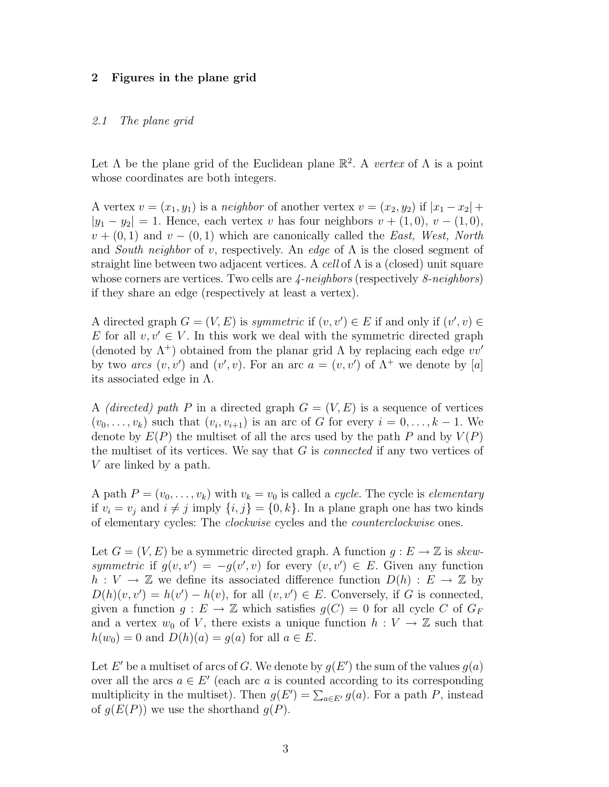#### 2 Figures in the plane grid

#### 2.1 The plane grid

Let  $\Lambda$  be the plane grid of the Euclidean plane  $\mathbb{R}^2$ . A vertex of  $\Lambda$  is a point whose coordinates are both integers.

A vertex  $v = (x_1, y_1)$  is a neighbor of another vertex  $v = (x_2, y_2)$  if  $|x_1 - x_2|$  +  $|y_1 - y_2| = 1$ . Hence, each vertex v has four neighbors  $v + (1, 0), v - (1, 0),$  $v + (0, 1)$  and  $v - (0, 1)$  which are canonically called the East, West, North and South neighbor of v, respectively. An edge of  $\Lambda$  is the closed segment of straight line between two adjacent vertices. A cell of  $\Lambda$  is a (closed) unit square whose corners are vertices. Two cells are  $\angle$ -neighbors (respectively  $\&$ -neighbors) if they share an edge (respectively at least a vertex).

A directed graph  $G = (V, E)$  is symmetric if  $(v, v') \in E$  if and only if  $(v', v) \in E$ E for all  $v, v' \in V$ . In this work we deal with the symmetric directed graph (denoted by  $\Lambda^+$ ) obtained from the planar grid  $\Lambda$  by replacing each edge  $vv'$ by two arcs  $(v, v')$  and  $(v', v)$ . For an arc  $a = (v, v')$  of  $\Lambda^+$  we denote by [a] its associated edge in  $\Lambda$ .

A *(directed)* path P in a directed graph  $G = (V, E)$  is a sequence of vertices  $(v_0, \ldots, v_k)$  such that  $(v_i, v_{i+1})$  is an arc of G for every  $i = 0, \ldots, k-1$ . We denote by  $E(P)$  the multiset of all the arcs used by the path P and by  $V(P)$ the multiset of its vertices. We say that  $G$  is *connected* if any two vertices of V are linked by a path.

A path  $P = (v_0, \ldots, v_k)$  with  $v_k = v_0$  is called a *cycle*. The cycle is *elementary* if  $v_i = v_j$  and  $i \neq j$  imply  $\{i, j\} = \{0, k\}$ . In a plane graph one has two kinds of elementary cycles: The clockwise cycles and the counterclockwise ones.

Let  $G = (V, E)$  be a symmetric directed graph. A function  $g : E \to \mathbb{Z}$  is skewsymmetric if  $g(v, v') = -g(v', v)$  for every  $(v, v') \in E$ . Given any function  $h: V \to \mathbb{Z}$  we define its associated difference function  $D(h): E \to \mathbb{Z}$  by  $D(h)(v, v') = h(v') - h(v)$ , for all  $(v, v') \in E$ . Conversely, if G is connected, given a function  $g: E \to \mathbb{Z}$  which satisfies  $g(C) = 0$  for all cycle C of  $G_F$ and a vertex  $w_0$  of V, there exists a unique function  $h: V \to \mathbb{Z}$  such that  $h(w_0) = 0$  and  $D(h)(a) = g(a)$  for all  $a \in E$ .

Let E' be a multiset of arcs of G. We denote by  $g(E')$  the sum of the values  $g(a)$ over all the arcs  $a \in E'$  (each arc a is counted according to its corresponding multiplicity in the multiset). Then  $g(E') = \sum_{a \in E'} g(a)$ . For a path P, instead of  $g(E(P))$  we use the shorthand  $g(P)$ .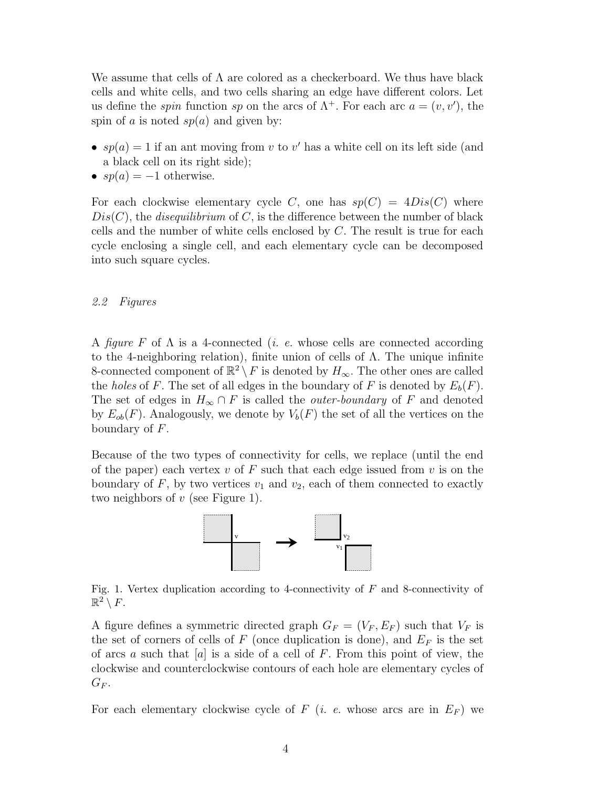We assume that cells of  $\Lambda$  are colored as a checkerboard. We thus have black cells and white cells, and two cells sharing an edge have different colors. Let us define the *spin* function sp on the arcs of  $\Lambda^+$ . For each arc  $a = (v, v')$ , the spin of a is noted  $sp(a)$  and given by:

- $sp(a) = 1$  if an ant moving from v to v' has a white cell on its left side (and a black cell on its right side);
- $sp(a) = -1$  otherwise.

For each clockwise elementary cycle C, one has  $sp(C) = 4Dis(C)$  where  $Dis(C)$ , the *disequilibrium* of C, is the difference between the number of black cells and the number of white cells enclosed by  $C$ . The result is true for each cycle enclosing a single cell, and each elementary cycle can be decomposed into such square cycles.

#### 2.2 Figures

A figure F of  $\Lambda$  is a 4-connected (*i. e.* whose cells are connected according to the 4-neighboring relation), finite union of cells of Λ. The unique infinite 8-connected component of  $\mathbb{R}^2 \setminus F$  is denoted by  $H_{\infty}$ . The other ones are called the holes of F. The set of all edges in the boundary of F is denoted by  $E_b(F)$ . The set of edges in  $H_{\infty} \cap F$  is called the *outer-boundary* of F and denoted by  $E_{ob}(F)$ . Analogously, we denote by  $V_b(F)$  the set of all the vertices on the boundary of F.

Because of the two types of connectivity for cells, we replace (until the end of the paper) each vertex  $v$  of  $F$  such that each edge issued from  $v$  is on the boundary of  $F$ , by two vertices  $v_1$  and  $v_2$ , each of them connected to exactly two neighbors of  $v$  (see Figure 1).



Fig. 1. Vertex duplication according to 4-connectivity of  $F$  and 8-connectivity of  $\mathbb{R}^2 \setminus F.$ 

A figure defines a symmetric directed graph  $G_F = (V_F, E_F)$  such that  $V_F$  is the set of corners of cells of F (once duplication is done), and  $E_F$  is the set of arcs a such that |a| is a side of a cell of F. From this point of view, the clockwise and counterclockwise contours of each hole are elementary cycles of  $G_F$ .

For each elementary clockwise cycle of  $F$  (*i. e.* whose arcs are in  $E_F$ ) we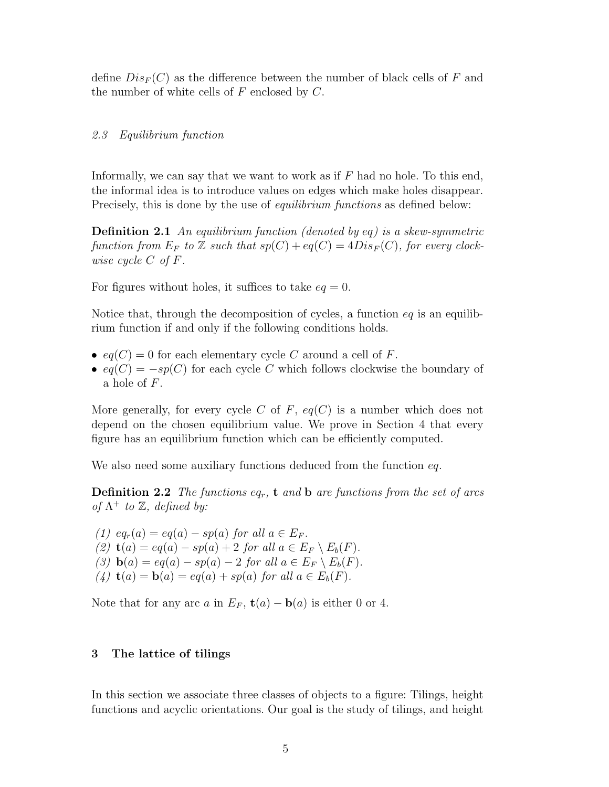define  $Dis_F(C)$  as the difference between the number of black cells of F and the number of white cells of  $F$  enclosed by  $C$ .

#### 2.3 Equilibrium function

Informally, we can say that we want to work as if  $F$  had no hole. To this end, the informal idea is to introduce values on edges which make holes disappear. Precisely, this is done by the use of *equilibrium functions* as defined below:

**Definition 2.1** An equilibrium function (denoted by eq) is a skew-symmetric function from  $E_F$  to  $\mathbb Z$  such that  $sp(C) + eq(C) = 4Dis_F(C)$ , for every clockwise cycle C of F.

For figures without holes, it suffices to take  $eq = 0$ .

Notice that, through the decomposition of cycles, a function  $eq$  is an equilibrium function if and only if the following conditions holds.

- $eq(C) = 0$  for each elementary cycle C around a cell of F.
- $eq(C) = -sp(C)$  for each cycle C which follows clockwise the boundary of a hole of F.

More generally, for every cycle C of F,  $eq(C)$  is a number which does not depend on the chosen equilibrium value. We prove in Section 4 that every figure has an equilibrium function which can be efficiently computed.

We also need some auxiliary functions deduced from the function eq.

**Definition 2.2** The functions  $eq_r$ , **t** and **b** are functions from the set of arcs of  $\Lambda^+$  to  $\mathbb{Z}$ , defined by:

(1)  $eq_r(a) = eq(a) - sp(a)$  for all  $a \in E_F$ . (2)  $\mathbf{t}(a) = eq(a) - sp(a) + 2$  for all  $a \in E_F \setminus E_b(F)$ . (3)  $\mathbf{b}(a) = eq(a) - sp(a) - 2$  for all  $a \in E_F \setminus E_b(F)$ . (4)  $\mathbf{t}(a) = \mathbf{b}(a) = eq(a) + sp(a)$  for all  $a \in E_b(F)$ .

Note that for any arc a in  $E_F$ ,  $\mathbf{t}(a) - \mathbf{b}(a)$  is either 0 or 4.

#### 3 The lattice of tilings

In this section we associate three classes of objects to a figure: Tilings, height functions and acyclic orientations. Our goal is the study of tilings, and height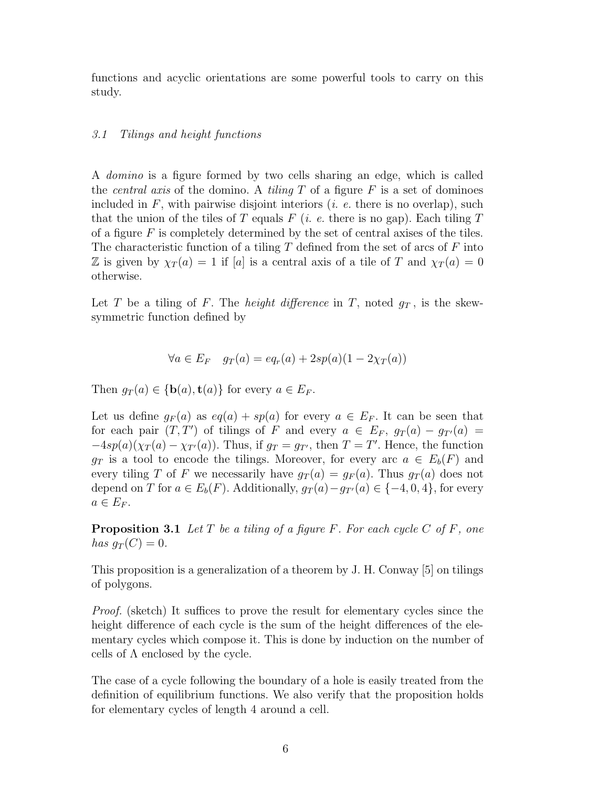functions and acyclic orientations are some powerful tools to carry on this study.

#### 3.1 Tilings and height functions

A domino is a figure formed by two cells sharing an edge, which is called the *central axis* of the domino. A *tiling*  $T$  of a figure  $F$  is a set of dominoes included in  $F$ , with pairwise disjoint interiors (*i. e.* there is no overlap), such that the union of the tiles of T equals F (*i. e.* there is no gap). Each tiling T of a figure  $F$  is completely determined by the set of central axises of the tiles. The characteristic function of a tiling  $T$  defined from the set of arcs of  $F$  into Z is given by  $\chi_T(a) = 1$  if [a] is a central axis of a tile of T and  $\chi_T(a) = 0$ otherwise.

Let T be a tiling of F. The *height difference* in T, noted  $g_T$ , is the skewsymmetric function defined by

$$
\forall a \in E_F \quad g_T(a) = eq_r(a) + 2sp(a)(1 - 2\chi_T(a))
$$

Then  $g_T(a) \in \{\mathbf{b}(a), \mathbf{t}(a)\}\$ for every  $a \in E_F$ .

Let us define  $g_F(a)$  as  $eq(a) + sp(a)$  for every  $a \in E_F$ . It can be seen that for each pair  $(T, T')$  of tilings of F and every  $a \in E_F$ ,  $g_T(a) - g_{T'}(a) =$  $-4sp(a)(\chi_T(a)-\chi_{T'}(a))$ . Thus, if  $g_T = g_{T'}$ , then  $T = T'$ . Hence, the function  $g_T$  is a tool to encode the tilings. Moreover, for every arc  $a \in E_b(F)$  and every tiling T of F we necessarily have  $g_T(a) = g_F(a)$ . Thus  $g_T(a)$  does not depend on T for  $a \in E_b(F)$ . Additionally,  $g_T(a) - g_{T'}(a) \in \{-4, 0, 4\}$ , for every  $a \in E_F$ .

**Proposition 3.1** Let T be a tiling of a figure F. For each cycle C of F, one has  $g_T(C) = 0$ .

This proposition is a generalization of a theorem by J. H. Conway [5] on tilings of polygons.

Proof. (sketch) It suffices to prove the result for elementary cycles since the height difference of each cycle is the sum of the height differences of the elementary cycles which compose it. This is done by induction on the number of cells of  $\Lambda$  enclosed by the cycle.

The case of a cycle following the boundary of a hole is easily treated from the definition of equilibrium functions. We also verify that the proposition holds for elementary cycles of length 4 around a cell.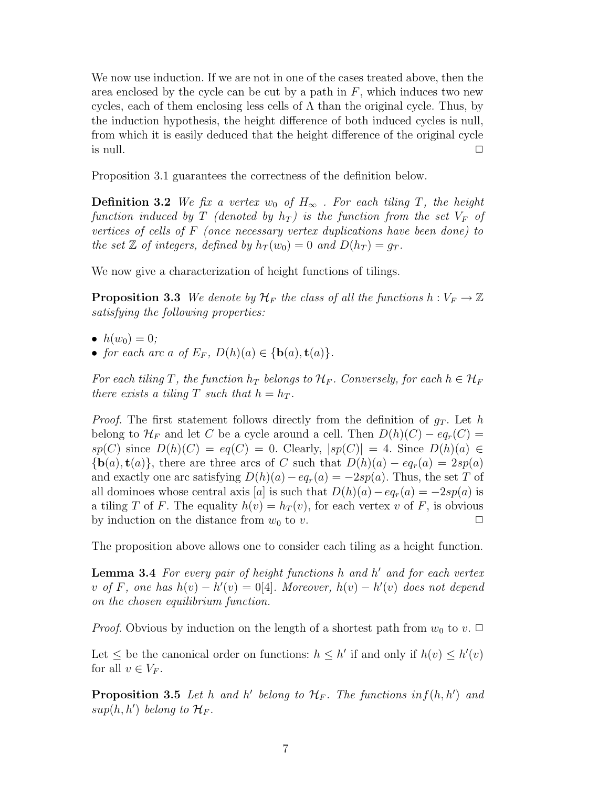We now use induction. If we are not in one of the cases treated above, then the area enclosed by the cycle can be cut by a path in  $F$ , which induces two new cycles, each of them enclosing less cells of  $\Lambda$  than the original cycle. Thus, by the induction hypothesis, the height difference of both induced cycles is null, from which it is easily deduced that the height difference of the original cycle is null.  $\Box$ 

Proposition 3.1 guarantees the correctness of the definition below.

**Definition 3.2** We fix a vertex w<sub>0</sub> of  $H_{\infty}$ . For each tiling T, the height function induced by T (denoted by  $h_T$ ) is the function from the set  $V_F$  of vertices of cells of F (once necessary vertex duplications have been done) to the set  $\mathbb Z$  of integers, defined by  $h_T(w_0) = 0$  and  $D(h_T) = g_T$ .

We now give a characterization of height functions of tilings.

**Proposition 3.3** We denote by  $\mathcal{H}_F$  the class of all the functions  $h: V_F \to \mathbb{Z}$ satisfying the following properties:

- $h(w_0) = 0;$
- for each arc a of  $E_F$ ,  $D(h)(a) \in {\bf{b}}(a), {\bf{t}}(a)$ .

For each tiling T, the function  $h_T$  belongs to  $\mathcal{H}_F$ . Conversely, for each  $h \in \mathcal{H}_F$ there exists a tiling T such that  $h = h_T$ .

*Proof.* The first statement follows directly from the definition of  $g_T$ . Let h belong to  $\mathcal{H}_F$  and let C be a cycle around a cell. Then  $D(h)(C) - eq_r(C) =$  $sp(C)$  since  $D(h)(C) = eq(C) = 0$ . Clearly,  $|sp(C)| = 4$ . Since  $D(h)(a) \in$  ${\bf b}(a), {\bf t}(a)$ , there are three arcs of C such that  $D(h)(a) - eq_r(a) = 2sp(a)$ and exactly one arc satisfying  $D(h)(a) - eq<sub>r</sub>(a) = -2sp(a)$ . Thus, the set T of all dominoes whose central axis [a] is such that  $D(h)(a) - eq<sub>r</sub>(a) = -2sp(a)$  is a tiling T of F. The equality  $h(v) = h_T(v)$ , for each vertex v of F, is obvious by induction on the distance from  $w_0$  to  $v$ .

The proposition above allows one to consider each tiling as a height function.

**Lemma 3.4** For every pair of height functions  $h$  and  $h'$  and for each vertex v of F, one has  $h(v) - h'(v) = 0$ [4]. Moreover,  $h(v) - h'(v)$  does not depend on the chosen equilibrium function.

*Proof.* Obvious by induction on the length of a shortest path from  $w_0$  to  $v$ .  $\Box$ 

Let  $\leq$  be the canonical order on functions:  $h \leq h'$  if and only if  $h(v) \leq h'(v)$ for all  $v \in V_F$ .

**Proposition 3.5** Let h and h' belong to  $\mathcal{H}_F$ . The functions  $inf(h, h')$  and  $sup(h, h')$  belong to  $\mathcal{H}_F$ .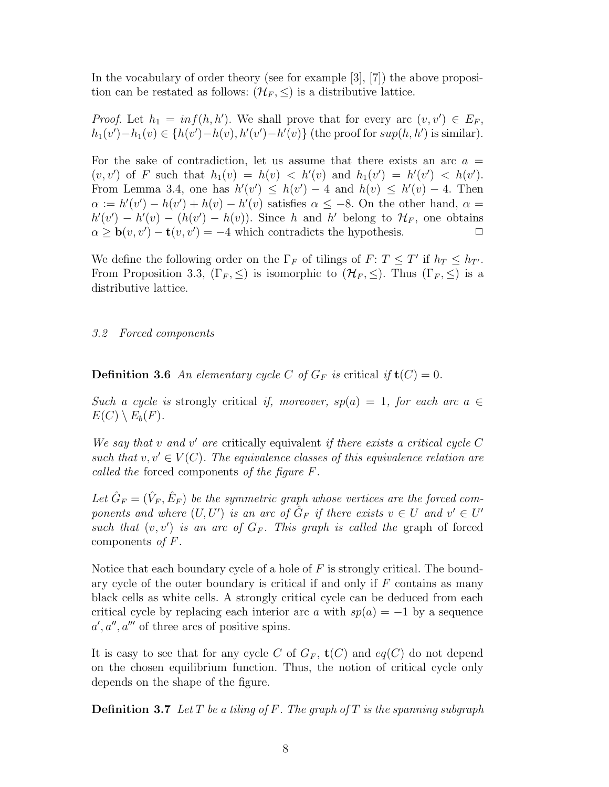In the vocabulary of order theory (see for example [3], [7]) the above proposition can be restated as follows:  $(\mathcal{H}_F, \leq)$  is a distributive lattice.

*Proof.* Let  $h_1 = inf(h, h')$ . We shall prove that for every arc  $(v, v') \in E_F$ ,  $h_1(v') - h_1(v) \in \{h(v') - h(v), h'(v') - h'(v)\}\$  (the proof for  $sup(h, h')$  is similar).

For the sake of contradiction, let us assume that there exists an arc  $a =$  $(v, v')$  of F such that  $h_1(v) = h(v) < h'(v)$  and  $h_1(v') = h'(v') < h(v')$ . From Lemma 3.4, one has  $h'(v') \leq h(v') - 4$  and  $h(v) \leq h'(v) - 4$ . Then  $\alpha := h'(v') - h(v') + h(v) - h'(v)$  satisfies  $\alpha \leq -8$ . On the other hand,  $\alpha =$  $h'(v') - h'(v) - (h(v') - h(v))$ . Since h and h' belong to  $\mathcal{H}_F$ , one obtains  $\alpha \geq \mathbf{b}(v, v') - \mathbf{t}(v, v') = -4$  which contradicts the hypothesis.

We define the following order on the  $\Gamma_F$  of tilings of  $F: T \leq T'$  if  $h_T \leq h_{T'}$ . From Proposition 3.3,  $(\Gamma_F, \leq)$  is isomorphic to  $(\mathcal{H}_F, \leq)$ . Thus  $(\Gamma_F, \leq)$  is a distributive lattice.

## 3.2 Forced components

**Definition 3.6** An elementary cycle C of  $G_F$  is critical if  $\mathbf{t}(C) = 0$ .

Such a cycle is strongly critical if, moreover,  $sp(a) = 1$ , for each arc  $a \in$  $E(C) \setminus E_b(F)$ .

We say that  $v$  and  $v'$  are critically equivalent if there exists a critical cycle  $C$ such that  $v, v' \in V(C)$ . The equivalence classes of this equivalence relation are called the forced components of the figure F.

Let  $\hat{G}_F = (\hat{V}_F, \hat{E}_F)$  be the symmetric graph whose vertices are the forced components and where  $(U, U')$  is an arc of  $G_F$  if there exists  $v \in U$  and  $v' \in U'$ such that  $(v, v')$  is an arc of  $G_F$ . This graph is called the graph of forced components of  $F$ .

Notice that each boundary cycle of a hole of  $F$  is strongly critical. The boundary cycle of the outer boundary is critical if and only if  $F$  contains as many black cells as white cells. A strongly critical cycle can be deduced from each critical cycle by replacing each interior arc a with  $sp(a) = -1$  by a sequence  $a', a'', a'''$  of three arcs of positive spins.

It is easy to see that for any cycle C of  $G_F$ ,  $\mathbf{t}(C)$  and  $eq(C)$  do not depend on the chosen equilibrium function. Thus, the notion of critical cycle only depends on the shape of the figure.

**Definition 3.7** Let T be a tiling of F. The graph of T is the spanning subgraph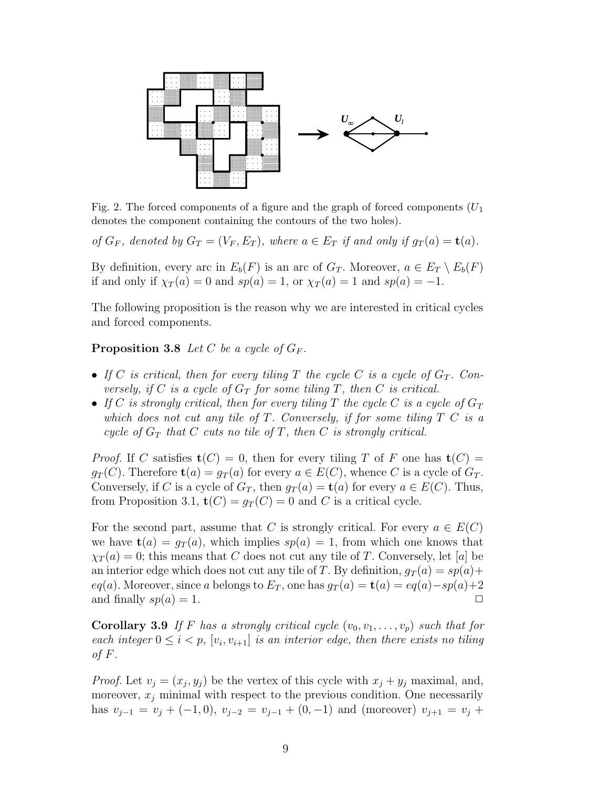

Fig. 2. The forced components of a figure and the graph of forced components  $(U_1)$ denotes the component containing the contours of the two holes).

of  $G_F$ , denoted by  $G_T = (V_F, E_T)$ , where  $a \in E_T$  if and only if  $g_T(a) = \mathbf{t}(a)$ .

By definition, every arc in  $E_b(F)$  is an arc of  $G_T$ . Moreover,  $a \in E_T \setminus E_b(F)$ if and only if  $\chi_T(a) = 0$  and  $sp(a) = 1$ , or  $\chi_T(a) = 1$  and  $sp(a) = -1$ .

The following proposition is the reason why we are interested in critical cycles and forced components.

**Proposition 3.8** Let C be a cycle of  $G_F$ .

- If C is critical, then for every tiling T the cycle C is a cycle of  $G_T$ . Conversely, if C is a cycle of  $G_T$  for some tiling T, then C is critical.
- If C is strongly critical, then for every tiling T the cycle C is a cycle of  $G_T$ which does not cut any tile of  $T$ . Conversely, if for some tiling  $T C$  is a cycle of  $G_T$  that C cuts no tile of T, then C is strongly critical.

*Proof.* If C satisfies  $\mathbf{t}(C) = 0$ , then for every tiling T of F one has  $\mathbf{t}(C) =$  $g_T(C)$ . Therefore  $\mathbf{t}(a) = g_T(a)$  for every  $a \in E(C)$ , whence C is a cycle of  $G_T$ . Conversely, if C is a cycle of  $G_T$ , then  $g_T(a) = \mathbf{t}(a)$  for every  $a \in E(C)$ . Thus, from Proposition 3.1,  $\mathbf{t}(C) = g_T(C) = 0$  and C is a critical cycle.

For the second part, assume that C is strongly critical. For every  $a \in E(C)$ we have  $\mathbf{t}(a) = g_T(a)$ , which implies  $sp(a) = 1$ , from which one knows that  $\chi_T(a) = 0$ ; this means that C does not cut any tile of T. Conversely, let [a] be an interior edge which does not cut any tile of T. By definition,  $g_T(a) = sp(a) +$ eq(a). Moreover, since a belongs to  $E_T$ , one has  $g_T(a) = \mathbf{t}(a) = eq(a) - sp(a)+2$ and finally  $sp(a) = 1$ .

Corollary 3.9 If F has a strongly critical cycle  $(v_0, v_1, \ldots, v_p)$  such that for each integer  $0 \leq i < p$ ,  $[v_i, v_{i+1}]$  is an interior edge, then there exists no tiling of  $F$ .

*Proof.* Let  $v_j = (x_j, y_j)$  be the vertex of this cycle with  $x_j + y_j$  maximal, and, moreover,  $x_j$  minimal with respect to the previous condition. One necessarily has  $v_{j-1} = v_j + (-1,0), v_{j-2} = v_{j-1} + (0,-1)$  and (moreover)  $v_{j+1} = v_j +$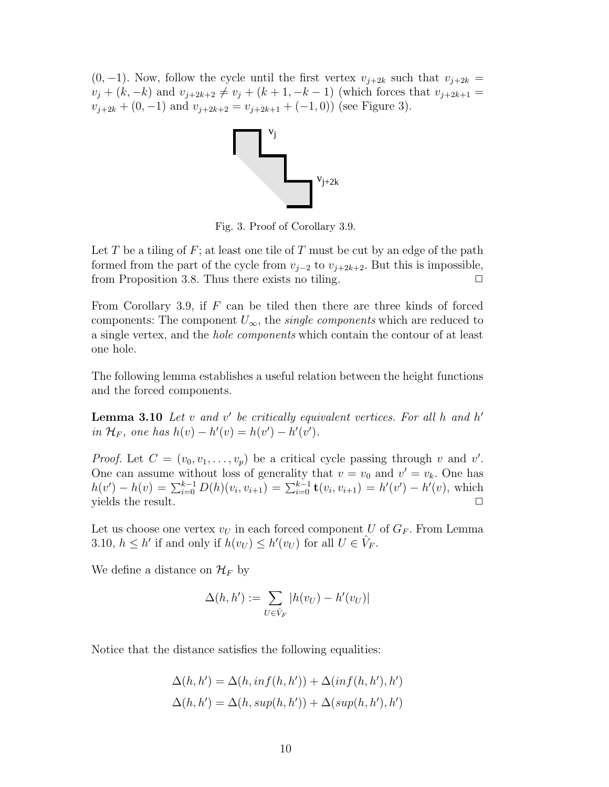$(0, -1)$ . Now, follow the cycle until the first vertex  $v_{j+2k}$  such that  $v_{j+2k}$  $v_j + (k, -k)$  and  $v_{j+2k+2} \neq v_j + (k+1, -k-1)$  (which forces that  $v_{j+2k+1} =$  $v_{j+2k} + (0, -1)$  and  $v_{j+2k+2} = v_{j+2k+1} + (-1, 0)$  (see Figure 3).



Fig. 3. Proof of Corollary 3.9.

Let T be a tiling of  $F$ ; at least one tile of T must be cut by an edge of the path formed from the part of the cycle from  $v_{j-2}$  to  $v_{j+2k+2}$ . But this is impossible, from Proposition 3.8. Thus there exists no tiling.  $\Box$ 

From Corollary 3.9, if  $F$  can be tiled then there are three kinds of forced components: The component  $U_{\infty}$ , the *single components* which are reduced to a single vertex, and the hole components which contain the contour of at least one hole.

The following lemma establishes a useful relation between the height functions and the forced components.

**Lemma 3.10** Let  $v$  and  $v'$  be critically equivalent vertices. For all  $h$  and  $h'$ in  $\mathcal{H}_F$ , one has  $h(v) - h'(v) = h(v') - h'(v')$ .

*Proof.* Let  $C = (v_0, v_1, \dots, v_p)$  be a critical cycle passing through v and v'. One can assume without loss of generality that  $v = v_0$  and  $v' = v_k$ . One has  $h(v') - h(v) = \sum_{i=0}^{k-1} D(h)(v_i, v_{i+1}) = \sum_{i=0}^{k-1} \mathbf{t}(v_i, v_{i+1}) = h'(v') - h'(v)$ , which yields the result.  $\Box$ 

Let us choose one vertex  $v_U$  in each forced component U of  $G_F$ . From Lemma 3.10,  $h \leq h'$  if and only if  $h(v_U) \leq h'(v_U)$  for all  $U \in \hat{V}_F$ .

We define a distance on  $\mathcal{H}_F$  by

$$
\Delta(h, h') := \sum_{U \in \hat{V}_F} |h(v_U) - h'(v_U)|
$$

Notice that the distance satisfies the following equalities:

$$
\Delta(h, h') = \Delta(h, inf(h, h')) + \Delta(inf(h, h'), h')
$$
  

$$
\Delta(h, h') = \Delta(h, sup(h, h')) + \Delta(sup(h, h'), h')
$$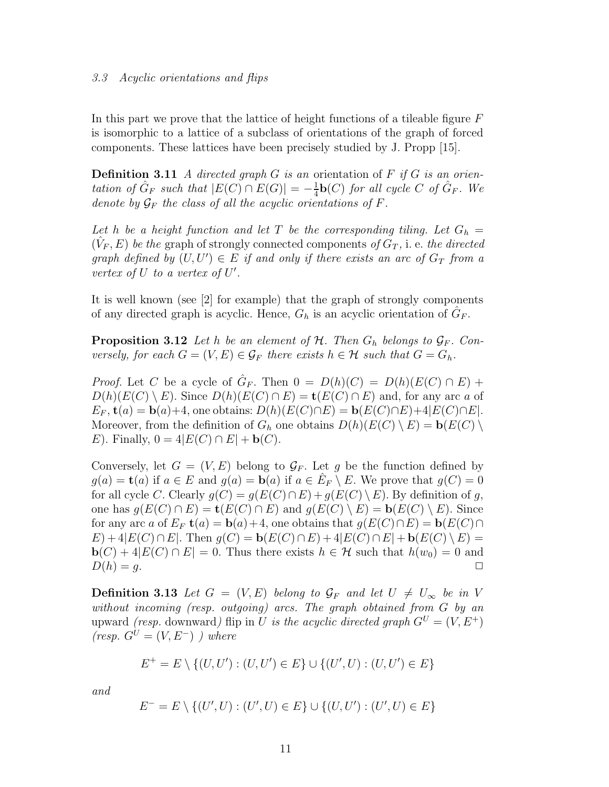#### 3.3 Acyclic orientations and flips

In this part we prove that the lattice of height functions of a tileable figure  $F$ is isomorphic to a lattice of a subclass of orientations of the graph of forced components. These lattices have been precisely studied by J. Propp [15].

**Definition 3.11** A directed graph G is an orientation of F if G is an orientation of  $\hat{G}_F$  such that  $|E(C) \cap E(G)| = -\frac{1}{4}$  $\frac{1}{4}$ **b**(*C*) for all cycle *C* of  $\hat{G}_F$ . We denote by  $\mathcal{G}_F$  the class of all the acyclic orientations of F.

Let h be a height function and let T be the corresponding tiling. Let  $G_h =$  $(\hat{V}_F, E)$  be the graph of strongly connected components of  $G_T$ , i. e. the directed graph defined by  $(U, U') \in E$  if and only if there exists an arc of  $G_T$  from a vertex of  $U$  to a vertex of  $U'$ .

It is well known (see [2] for example) that the graph of strongly components of any directed graph is acyclic. Hence,  $G_h$  is an acyclic orientation of  $\hat{G}_F$ .

**Proposition 3.12** Let h be an element of  $H$ . Then  $G_h$  belongs to  $\mathcal{G}_F$ . Conversely, for each  $G = (V, E) \in \mathcal{G}_F$  there exists  $h \in \mathcal{H}$  such that  $G = G_h$ .

*Proof.* Let C be a cycle of  $\hat{G}_F$ . Then  $0 = D(h)(C) = D(h)(E(C) \cap E)$  +  $D(h)(E(C) \setminus E)$ . Since  $D(h)(E(C) \cap E) = \mathbf{t}(E(C) \cap E)$  and, for any arc a of  $E_F$ ,  $\mathbf{t}(a) = \mathbf{b}(a)+4$ , one obtains:  $D(h)(E(C) \cap E) = \mathbf{b}(E(C) \cap E)+4|E(C) \cap E|$ . Moreover, from the definition of  $G_h$  one obtains  $D(h)(E(C) \setminus E) = \mathbf{b}(E(C) \setminus E)$ E). Finally,  $0 = 4|E(C) \cap E| + \mathbf{b}(C)$ .

Conversely, let  $G = (V, E)$  belong to  $\mathcal{G}_F$ . Let g be the function defined by  $g(a) = \mathbf{t}(a)$  if  $a \in E$  and  $g(a) = \mathbf{b}(a)$  if  $a \in \hat{E}_F \setminus E$ . We prove that  $g(C) = 0$ for all cycle C. Clearly  $g(C) = g(E(C) \cap E) + g(E(C) \setminus E)$ . By definition of g, one has  $g(E(C) \cap E) = \mathbf{t}(E(C) \cap E)$  and  $g(E(C) \setminus E) = \mathbf{b}(E(C) \setminus E)$ . Since for any arc a of  $E_F$  **t** $(a) = \mathbf{b}(a) + 4$ , one obtains that  $g(E(C) \cap E) = \mathbf{b}(E(C) \cap E)$  $E$ ) + 4| $E(C) \cap E$ . Then  $g(C) = \mathbf{b}(E(C) \cap E) + 4|E(C) \cap E| + \mathbf{b}(E(C) \setminus E) =$  $\mathbf{b}(C) + 4|E(C) \cap E| = 0$ . Thus there exists  $h \in \mathcal{H}$  such that  $h(w_0) = 0$  and  $D(h) = g.$ 

**Definition 3.13** Let  $G = (V, E)$  belong to  $\mathcal{G}_F$  and let  $U \neq U_\infty$  be in V without incoming (resp. outgoing) arcs. The graph obtained from G by an upward *(resp.* downward*)* flip in U is the acyclic directed graph  $G^U = (V, E^+)$  $(resp. G^U = (V, E^-)$ ) where

$$
E^{+} = E \setminus \{(U, U') : (U, U') \in E\} \cup \{(U', U) : (U, U') \in E\}
$$

and

$$
E^- = E \setminus \{ (U', U) : (U', U) \in E \} \cup \{ (U, U') : (U', U) \in E \}
$$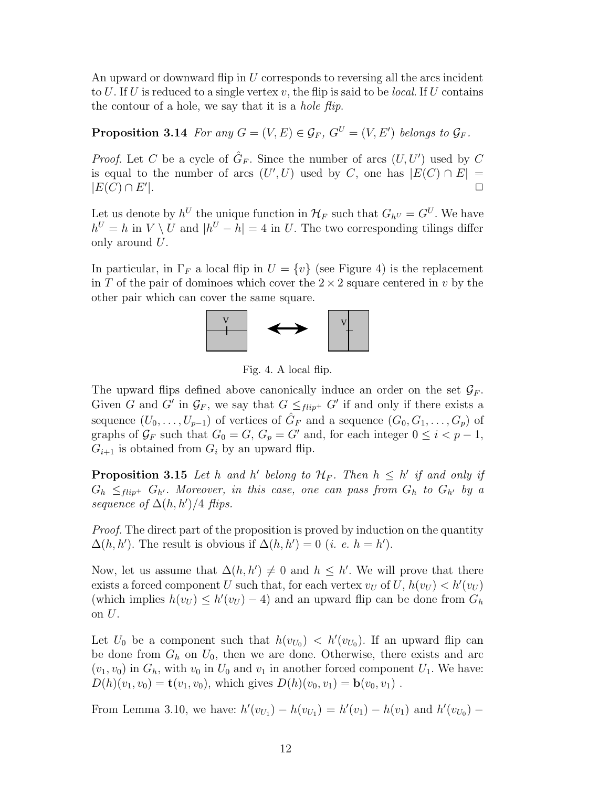An upward or downward flip in U corresponds to reversing all the arcs incident to U. If U is reduced to a single vertex  $v$ , the flip is said to be *local*. If U contains the contour of a hole, we say that it is a *hole flip*.

**Proposition 3.14** For any  $G = (V, E) \in \mathcal{G}_F$ ,  $G^U = (V, E')$  belongs to  $\mathcal{G}_F$ .

*Proof.* Let C be a cycle of  $\hat{G}_F$ . Since the number of arcs  $(U, U')$  used by C is equal to the number of arcs  $(U', U)$  used by C, one has  $|E(C) \cap E|$  =  $|E(C) \cap E'$ |. ✷

Let us denote by  $h^U$  the unique function in  $\mathcal{H}_F$  such that  $G_{h^U} = G^U$ . We have  $h^U = h$  in  $V \setminus U$  and  $|h^U - h| = 4$  in U. The two corresponding tilings differ only around U.

In particular, in  $\Gamma_F$  a local flip in  $U = \{v\}$  (see Figure 4) is the replacement in T of the pair of dominoes which cover the  $2 \times 2$  square centered in v by the other pair which can cover the same square.



Fig. 4. A local flip.

The upward flips defined above canonically induce an order on the set  $\mathcal{G}_F$ . Given G and G' in  $\mathcal{G}_F$ , we say that  $G \leq_{flip^+} G'$  if and only if there exists a sequence  $(U_0, \ldots, U_{p-1})$  of vertices of  $\hat{G}_F$  and a sequence  $(G_0, G_1, \ldots, G_p)$  of graphs of  $\mathcal{G}_F$  such that  $G_0 = G$ ,  $G_p = G'$  and, for each integer  $0 \leq i < p - 1$ ,  $G_{i+1}$  is obtained from  $G_i$  by an upward flip.

**Proposition 3.15** Let h and h' belong to  $\mathcal{H}_F$ . Then  $h \leq h'$  if and only if  $G_h \leq_{flip^+} G_{h'}$ . Moreover, in this case, one can pass from  $G_h$  to  $G_{h'}$  by a sequence of  $\Delta(h, h')/4$  flips.

Proof. The direct part of the proposition is proved by induction on the quantity  $\Delta(h, h')$ . The result is obvious if  $\Delta(h, h') = 0$  (*i. e. h = h'*).

Now, let us assume that  $\Delta(h, h') \neq 0$  and  $h \leq h'$ . We will prove that there exists a forced component U such that, for each vertex  $v_U$  of  $U$ ,  $h(v_U) < h'(v_U)$ (which implies  $h(v_U) \leq h'(v_U) - 4$ ) and an upward flip can be done from  $G_h$ on  $U$ .

Let  $U_0$  be a component such that  $h(v_{U_0}) < h'(v_{U_0})$ . If an upward flip can be done from  $G_h$  on  $U_0$ , then we are done. Otherwise, there exists and arc  $(v_1, v_0)$  in  $G_h$ , with  $v_0$  in  $U_0$  and  $v_1$  in another forced component  $U_1$ . We have:  $D(h)(v_1, v_0) = \mathbf{t}(v_1, v_0)$ , which gives  $D(h)(v_0, v_1) = \mathbf{b}(v_0, v_1)$ .

From Lemma 3.10, we have:  $h'(v_{U_1}) - h(v_{U_1}) = h'(v_1) - h(v_1)$  and  $h'(v_{U_0}) -$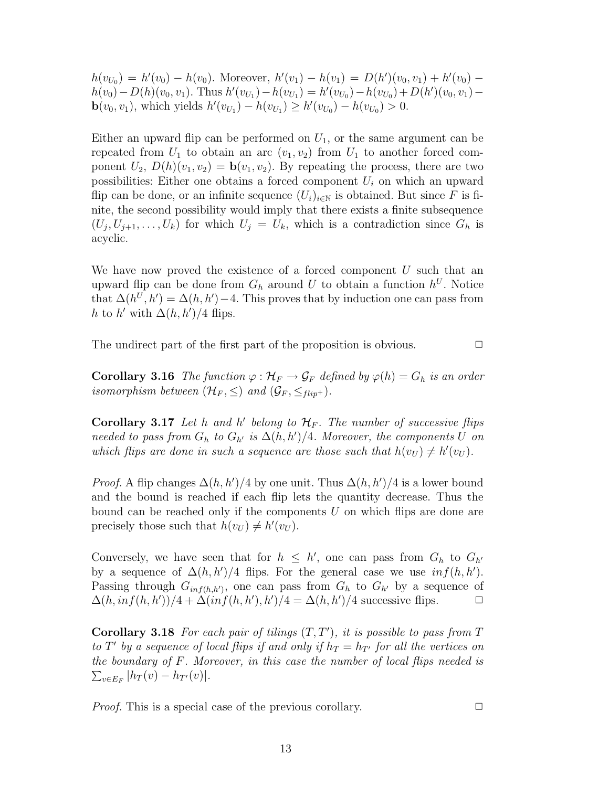$h(v_{U_0}) = h'(v_0) - h(v_0)$ . Moreover,  $h'(v_1) - h(v_1) = D(h')(v_0, v_1) + h'(v_0)$  $h(v_0) - D(h)(v_0, v_1)$ . Thus  $h'(v_{U_1}) - h(v_{U_1}) = h'(v_{U_0}) - h(v_{U_0}) + D(h')(v_0, v_1)$ **b**( $v_0, v_1$ ), which yields  $h'(v_{U_1}) - h(v_{U_1}) \ge h'(v_{U_0}) - h(v_{U_0}) > 0$ .

Either an upward flip can be performed on  $U_1$ , or the same argument can be repeated from  $U_1$  to obtain an arc  $(v_1, v_2)$  from  $U_1$  to another forced component  $U_2$ ,  $D(h)(v_1, v_2) = \mathbf{b}(v_1, v_2)$ . By repeating the process, there are two possibilities: Either one obtains a forced component  $U_i$  on which an upward flip can be done, or an infinite sequence  $(U_i)_{i\in\mathbb{N}}$  is obtained. But since F is finite, the second possibility would imply that there exists a finite subsequence  $(U_j, U_{j+1}, \ldots, U_k)$  for which  $U_j = U_k$ , which is a contradiction since  $G_h$  is acyclic.

We have now proved the existence of a forced component  $U$  such that an upward flip can be done from  $G_h$  around U to obtain a function  $h^U$ . Notice that  $\Delta(h^U, h') = \Delta(h, h') - 4$ . This proves that by induction one can pass from h to h' with  $\Delta(h, h')/4$  flips.

The undirect part of the first part of the proposition is obvious.  $\Box$ 

**Corollary 3.16** The function  $\varphi : \mathcal{H}_F \to \mathcal{G}_F$  defined by  $\varphi(h) = G_h$  is an order isomorphism between  $(\mathcal{H}_F, \leq)$  and  $(\mathcal{G}_F, \leq_{flip^+})$ .

Corollary 3.17 Let h and h' belong to  $\mathcal{H}_F$ . The number of successive flips needed to pass from  $G_h$  to  $G_{h'}$  is  $\Delta(h, h')/4$ . Moreover, the components U on which flips are done in such a sequence are those such that  $h(v_U) \neq h'(v_U)$ .

*Proof.* A flip changes  $\Delta(h, h')/4$  by one unit. Thus  $\Delta(h, h')/4$  is a lower bound and the bound is reached if each flip lets the quantity decrease. Thus the bound can be reached only if the components  $U$  on which flips are done are precisely those such that  $h(v_U) \neq h'(v_U)$ .

Conversely, we have seen that for  $h \leq h'$ , one can pass from  $G_h$  to  $G_{h'}$ by a sequence of  $\Delta(h, h')/4$  flips. For the general case we use  $inf(h, h')$ . Passing through  $G_{inf(h,h')}$ , one can pass from  $G_h$  to  $G_{h'}$  by a sequence of  $\Delta(h, inf(h, h'))/4 + \Delta(inf(h, h'), h')/4 = \Delta(h, h')/4$  successive flips.  $\Box$ 

Corollary 3.18 For each pair of tilings  $(T, T')$ , it is possible to pass from T to T' by a sequence of local flips if and only if  $h_T = h_{T'}$  for all the vertices on the boundary of F. Moreover, in this case the number of local flips needed is  $\sum_{v \in E_F} |h_T(v) - h_{T'}(v)|.$ 

*Proof.* This is a special case of the previous corollary.  $\Box$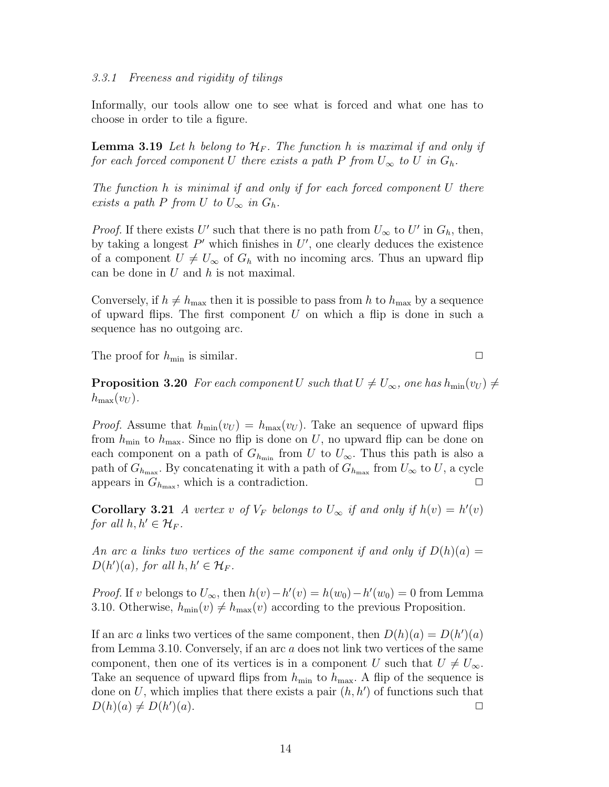Informally, our tools allow one to see what is forced and what one has to choose in order to tile a figure.

**Lemma 3.19** Let h belong to  $\mathcal{H}_F$ . The function h is maximal if and only if for each forced component U there exists a path P from  $U_{\infty}$  to U in  $G_h$ .

The function h is minimal if and only if for each forced component U there exists a path P from U to  $U_{\infty}$  in  $G_h$ .

*Proof.* If there exists U' such that there is no path from  $U_{\infty}$  to U' in  $G_h$ , then, by taking a longest  $P'$  which finishes in  $U'$ , one clearly deduces the existence of a component  $U \neq U_{\infty}$  of  $G_h$  with no incoming arcs. Thus an upward flip can be done in  $U$  and  $h$  is not maximal.

Conversely, if  $h \neq h_{\text{max}}$  then it is possible to pass from h to  $h_{\text{max}}$  by a sequence of upward flips. The first component  $U$  on which a flip is done in such a sequence has no outgoing arc.

The proof for  $h_{\min}$  is similar.  $\Box$ 

**Proposition 3.20** For each component U such that  $U \neq U_{\infty}$ , one has  $h_{\min}(v_U) \neq$  $h_{\text{max}}(v_U)$ .

*Proof.* Assume that  $h_{\min}(v_U) = h_{\max}(v_U)$ . Take an sequence of upward flips from  $h_{\min}$  to  $h_{\max}$ . Since no flip is done on U, no upward flip can be done on each component on a path of  $G_{h_{\min}}$  from U to  $U_{\infty}$ . Thus this path is also a path of  $G_{h_{\max}}$ . By concatenating it with a path of  $G_{h_{\max}}$  from  $U_{\infty}$  to  $U$ , a cycle appears in  $G_{h_{\text{max}}}$ , which is a contradiction.

**Corollary 3.21** A vertex v of  $V_F$  belongs to  $U_\infty$  if and only if  $h(v) = h'(v)$ for all  $h, h' \in \mathcal{H}_F$ .

An arc a links two vertices of the same component if and only if  $D(h)(a) =$  $D(h')(a)$ , for all  $h, h' \in \mathcal{H}_F$ .

*Proof.* If v belongs to  $U_{\infty}$ , then  $h(v) - h'(v) = h(w_0) - h'(w_0) = 0$  from Lemma 3.10. Otherwise,  $h_{\min}(v) \neq h_{\max}(v)$  according to the previous Proposition.

If an arc a links two vertices of the same component, then  $D(h)(a) = D(h')(a)$ from Lemma 3.10. Conversely, if an arc a does not link two vertices of the same component, then one of its vertices is in a component U such that  $U \neq U_{\infty}$ . Take an sequence of upward flips from  $h_{\text{min}}$  to  $h_{\text{max}}$ . A flip of the sequence is done on U, which implies that there exists a pair  $(h, h')$  of functions such that  $D(h)(a) \neq D(h)$  $)(a).$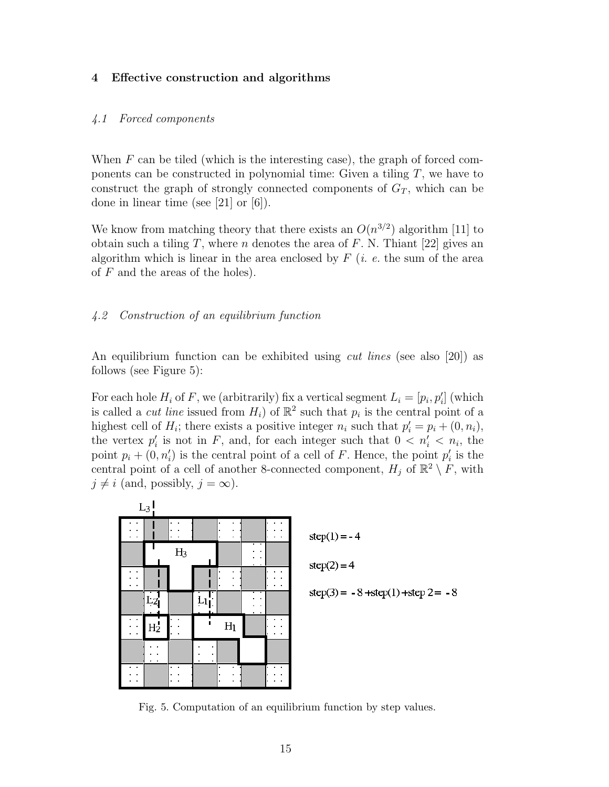#### 4 Effective construction and algorithms

#### 4.1 Forced components

When  $F$  can be tiled (which is the interesting case), the graph of forced components can be constructed in polynomial time: Given a tiling  $T$ , we have to construct the graph of strongly connected components of  $G_T$ , which can be done in linear time (see [21] or [6]).

We know from matching theory that there exists an  $O(n^{3/2})$  algorithm [11] to obtain such a tiling T, where n denotes the area of F. N. Thiant [22] gives an algorithm which is linear in the area enclosed by  $F$  (*i. e.* the sum of the area of  $F$  and the areas of the holes).

## 4.2 Construction of an equilibrium function

An equilibrium function can be exhibited using *cut lines* (see also [20]) as follows (see Figure 5):

For each hole  $H_i$  of F, we (arbitrarily) fix a vertical segment  $L_i = [p_i, p'_i]$  (which is called a *cut line* issued from  $H_i$ ) of  $\mathbb{R}^2$  such that  $p_i$  is the central point of a highest cell of  $H_i$ ; there exists a positive integer  $n_i$  such that  $p'_i = p_i + (0, n_i)$ , the vertex  $p'_i$  is not in F, and, for each integer such that  $0 < n'_i < n_i$ , the point  $p_i + (0, n'_i)$  is the central point of a cell of F. Hence, the point  $p'_i$  is the central point of a cell of another 8-connected component,  $H_j$  of  $\mathbb{R}^2 \setminus F$ , with  $j \neq i$  (and, possibly,  $j = \infty$ ).



Fig. 5. Computation of an equilibrium function by step values.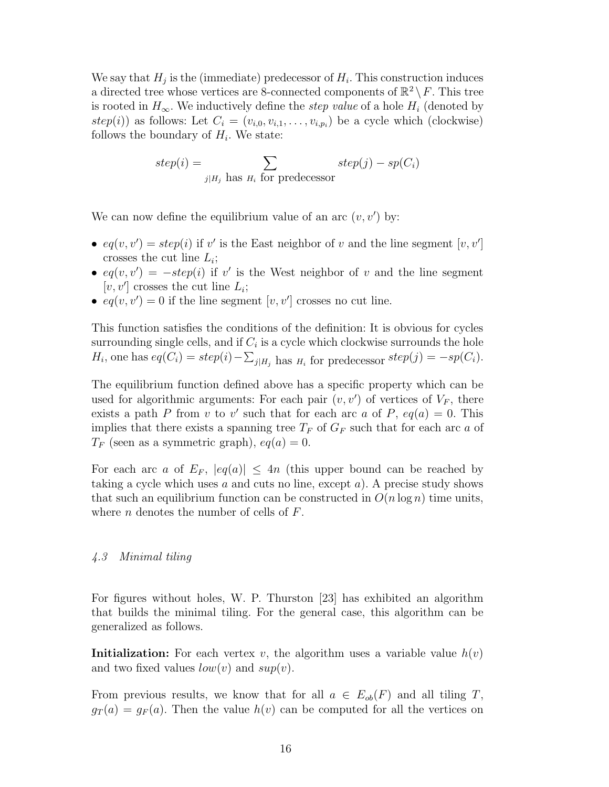We say that  $H_j$  is the (immediate) predecessor of  $H_i$ . This construction induces a directed tree whose vertices are 8-connected components of  $\mathbb{R}^2 \setminus F$ . This tree is rooted in  $H_{\infty}$ . We inductively define the *step value* of a hole  $H_i$  (denoted by  $step(i)$ ) as follows: Let  $C_i = (v_{i,0}, v_{i,1}, \ldots, v_{i,p_i})$  be a cycle which (clockwise) follows the boundary of  $H_i$ . We state:

$$
step(i) = \sum_{j|H_j \text{ has } H_i \text{ for predecessor}} step(j) - sp(C_i)
$$

We can now define the equilibrium value of an arc  $(v, v')$  by:

- $eq(v, v') = step(i)$  if v' is the East neighbor of v and the line segment  $[v, v']$ crosses the cut line  $L_i$ ;
- $eq(v, v') = -step(i)$  if v' is the West neighbor of v and the line segment [v, v'] crosses the cut line  $L_i$ ;
- $eq(v, v') = 0$  if the line segment  $[v, v']$  crosses no cut line.

This function satisfies the conditions of the definition: It is obvious for cycles surrounding single cells, and if  $C_i$  is a cycle which clockwise surrounds the hole  $H_i$ , one has  $eq(C_i) = step(i) - \sum_{j|H_j}$  has  $H_i$  for predecessor  $step(j) = -sp(C_i)$ .

The equilibrium function defined above has a specific property which can be used for algorithmic arguments: For each pair  $(v, v')$  of vertices of  $V_F$ , there exists a path P from v to v' such that for each arc a of P,  $eq(a) = 0$ . This implies that there exists a spanning tree  $T_F$  of  $G_F$  such that for each arc a of  $T_F$  (seen as a symmetric graph),  $eq(a) = 0$ .

For each arc a of  $E_F$ ,  $|eq(a)| \leq 4n$  (this upper bound can be reached by taking a cycle which uses a and cuts no line, except a). A precise study shows that such an equilibrium function can be constructed in  $O(n \log n)$  time units, where  $n$  denotes the number of cells of  $F$ .

#### 4.3 Minimal tiling

For figures without holes, W. P. Thurston [23] has exhibited an algorithm that builds the minimal tiling. For the general case, this algorithm can be generalized as follows.

**Initialization:** For each vertex v, the algorithm uses a variable value  $h(v)$ and two fixed values  $low(v)$  and  $sup(v)$ .

From previous results, we know that for all  $a \in E_{ob}(F)$  and all tiling T,  $g_T(a) = g_F(a)$ . Then the value  $h(v)$  can be computed for all the vertices on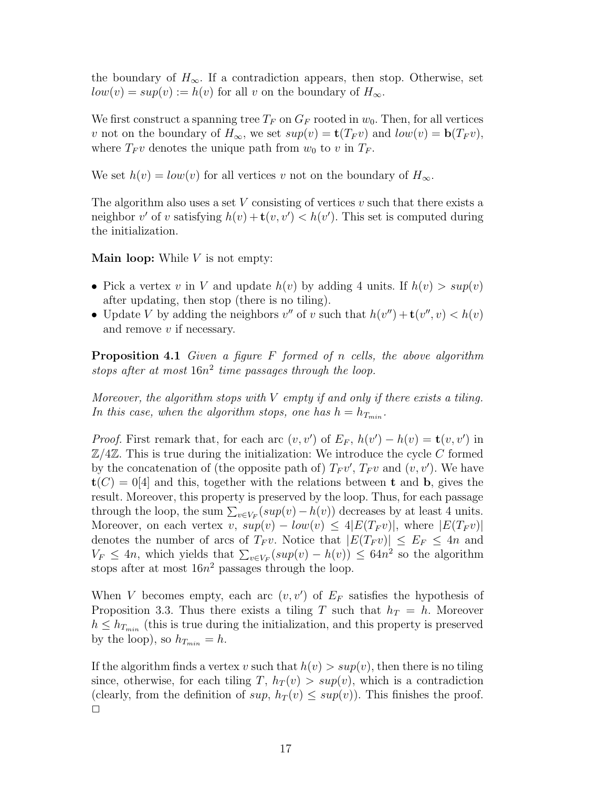the boundary of  $H_{\infty}$ . If a contradiction appears, then stop. Otherwise, set  $low(v) = sup(v) := h(v)$  for all v on the boundary of  $H_{\infty}$ .

We first construct a spanning tree  $T_F$  on  $G_F$  rooted in  $w_0$ . Then, for all vertices v not on the boundary of  $H_{\infty}$ , we set  $sup(v) = \mathbf{t}(T_F v)$  and  $low(v) = \mathbf{b}(T_F v)$ , where  $T_F v$  denotes the unique path from  $w_0$  to v in  $T_F$ .

We set  $h(v) = low(v)$  for all vertices v not on the boundary of  $H_{\infty}$ .

The algorithm also uses a set V consisting of vertices  $v$  such that there exists a neighbor v' of v satisfying  $h(v) + \mathbf{t}(v, v') < h(v')$ . This set is computed during the initialization.

**Main loop:** While  $V$  is not empty:

- Pick a vertex v in V and update  $h(v)$  by adding 4 units. If  $h(v) > sup(v)$ after updating, then stop (there is no tiling).
- Update V by adding the neighbors  $v''$  of v such that  $h(v'') + \mathbf{t}(v'', v) < h(v)$ and remove  $v$  if necessary.

**Proposition 4.1** Given a figure  $F$  formed of n cells, the above algorithm stops after at most  $16n^2$  time passages through the loop.

Moreover, the algorithm stops with  $V$  empty if and only if there exists a tiling. In this case, when the algorithm stops, one has  $h = h_{T_{min}}$ .

*Proof.* First remark that, for each arc  $(v, v')$  of  $E_F$ ,  $h(v') - h(v) = \mathbf{t}(v, v')$  in  $\mathbb{Z}/4\mathbb{Z}$ . This is true during the initialization: We introduce the cycle C formed by the concatenation of (the opposite path of)  $T_F v'$ ,  $T_F v$  and  $(v, v')$ . We have  $t(C) = 0[4]$  and this, together with the relations between t and b, gives the result. Moreover, this property is preserved by the loop. Thus, for each passage through the loop, the sum  $\sum_{v \in V_F} (sup(v) - h(v))$  decreases by at least 4 units. Moreover, on each vertex v,  $sup(v) - low(v) \leq 4|E(T_F v)|$ , where  $|E(T_F v)|$ denotes the number of arcs of  $T_F v$ . Notice that  $|E(T_F v)| \leq E_F \leq 4n$  and  $V_F \leq 4n$ , which yields that  $\sum_{v \in V_F} (sup(v) - h(v)) \leq 64n^2$  so the algorithm stops after at most  $16n^2$  passages through the loop.

When V becomes empty, each arc  $(v, v')$  of  $E_F$  satisfies the hypothesis of Proposition 3.3. Thus there exists a tiling T such that  $h_T = h$ . Moreover  $h \leq h_{T_{min}}$  (this is true during the initialization, and this property is preserved by the loop), so  $h_{T_{min}} = h$ .

If the algorithm finds a vertex v such that  $h(v) > sup(v)$ , then there is no tiling since, otherwise, for each tiling T,  $h_T(v) > sup(v)$ , which is a contradiction (clearly, from the definition of  $sup$ ,  $h_T(v) \leq sup(v)$ ). This finishes the proof.  $\Box$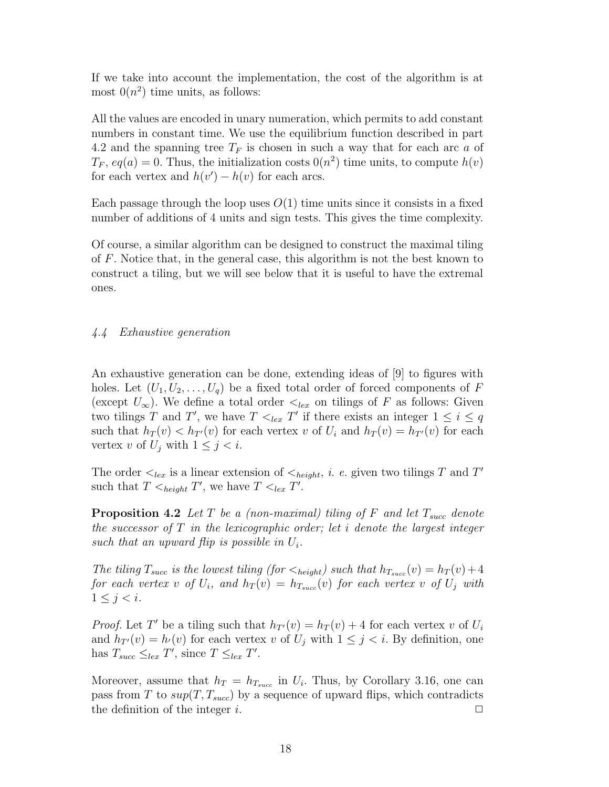If we take into account the implementation, the cost of the algorithm is at most  $0(n^2)$  time units, as follows:

All the values are encoded in unary numeration, which permits to add constant numbers in constant time. We use the equilibrium function described in part 4.2 and the spanning tree  $T_F$  is chosen in such a way that for each arc  $a$  of  $T_F$ ,  $eq(a) = 0$ . Thus, the initialization costs  $0(n^2)$  time units, to compute  $h(v)$ for each vertex and  $h(v') - h(v)$  for each arcs.

Each passage through the loop uses  $O(1)$  time units since it consists in a fixed number of additions of 4 units and sign tests. This gives the time complexity.

Of course, a similar algorithm can be designed to construct the maximal tiling of F. Notice that, in the general case, this algorithm is not the best known to construct a tiling, but we will see below that it is useful to have the extremal ones.

## 4.4 Exhaustive generation

An exhaustive generation can be done, extending ideas of [9] to figures with holes. Let  $(U_1, U_2, \ldots, U_q)$  be a fixed total order of forced components of F (except  $U_{\infty}$ ). We define a total order  $\lt_{lex}$  on tilings of F as follows: Given two tilings T and T', we have  $T \leq_{lex} T'$  if there exists an integer  $1 \leq i \leq q$ such that  $h_T(v) < h_{T'}(v)$  for each vertex v of  $U_i$  and  $h_T(v) = h_{T'}(v)$  for each vertex v of  $U_j$  with  $1 \leq j \leq i$ .

The order  $\leq_{lex}$  is a linear extension of  $\leq_{height}$ , *i. e.* given two tilings T and T' such that  $T \leq_{height} T'$ , we have  $T \leq_{lex} T'$ .

**Proposition 4.2** Let T be a (non-maximal) tiling of F and let  $T_{succ}$  denote the successor of  $T$  in the lexicographic order; let i denote the largest integer such that an upward flip is possible in  $U_i$ .

The tiling  $T_{succ}$  is the lowest tiling (for  $\langle_{height} \rangle$ ) such that  $h_{T_{succ}}(v) = h_T(v) + 4$ for each vertex  $v$  of  $U_i$ , and  $h_T(v) = h_{T_{succ}}(v)$  for each vertex  $v$  of  $U_j$  with  $1 \leq i \leq i$ .

*Proof.* Let T' be a tiling such that  $h_{T}(v) = h_T(v) + 4$  for each vertex v of  $U_i$ and  $h_{T}(v) = h(v)$  for each vertex v of  $U_j$  with  $1 \leq j \leq i$ . By definition, one has  $T_{succ} \leq_{lex} T'$ , since  $T \leq_{lex} T'$ .

Moreover, assume that  $h_T = h_{T_{succ}}$  in  $U_i$ . Thus, by Corollary 3.16, one can pass from T to  $sup(T, T_{succ})$  by a sequence of upward flips, which contradicts the definition of the integer i.  $\Box$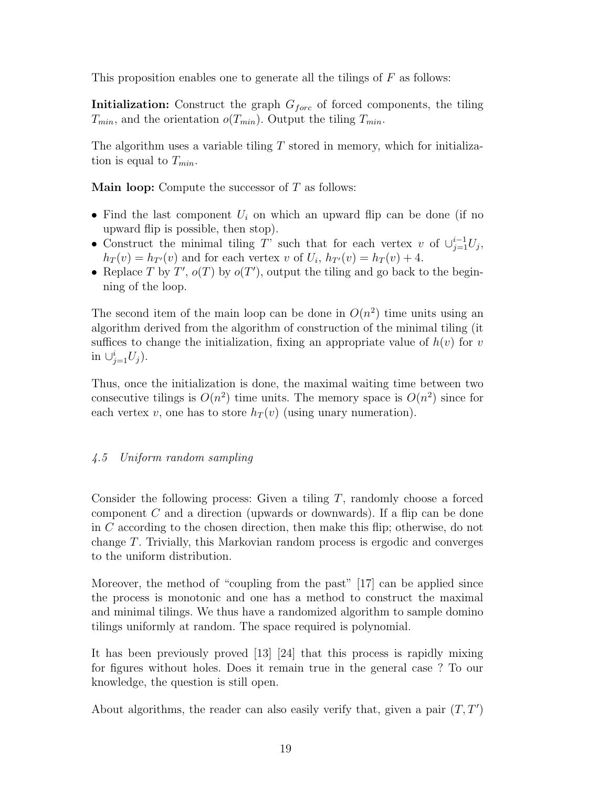This proposition enables one to generate all the tilings of  $F$  as follows:

**Initialization:** Construct the graph  $G_{\text{forc}}$  of forced components, the tiling  $T_{min}$ , and the orientation  $o(T_{min})$ . Output the tiling  $T_{min}$ .

The algorithm uses a variable tiling  $T$  stored in memory, which for initialization is equal to  $T_{min}$ .

**Main loop:** Compute the successor of  $T$  as follows:

- Find the last component  $U_i$  on which an upward flip can be done (if no upward flip is possible, then stop).
- Construct the minimal tiling T' such that for each vertex v of  $\cup_{j=1}^{i-1} U_j$ ,  $h_T(v) = h_{T'}(v)$  and for each vertex v of  $U_i$ ,  $h_{T'}(v) = h_T(v) + 4$ .
- Replace T by T',  $o(T)$  by  $o(T')$ , output the tiling and go back to the beginning of the loop.

The second item of the main loop can be done in  $O(n^2)$  time units using an algorithm derived from the algorithm of construction of the minimal tiling (it suffices to change the initialization, fixing an appropriate value of  $h(v)$  for v in  $\cup_{j=1}^i U_j$ ).

Thus, once the initialization is done, the maximal waiting time between two consecutive tilings is  $O(n^2)$  time units. The memory space is  $O(n^2)$  since for each vertex v, one has to store  $h_T(v)$  (using unary numeration).

# 4.5 Uniform random sampling

Consider the following process: Given a tiling T, randomly choose a forced component C and a direction (upwards or downwards). If a flip can be done in C according to the chosen direction, then make this flip; otherwise, do not change T. Trivially, this Markovian random process is ergodic and converges to the uniform distribution.

Moreover, the method of "coupling from the past" [17] can be applied since the process is monotonic and one has a method to construct the maximal and minimal tilings. We thus have a randomized algorithm to sample domino tilings uniformly at random. The space required is polynomial.

It has been previously proved [13] [24] that this process is rapidly mixing for figures without holes. Does it remain true in the general case ? To our knowledge, the question is still open.

About algorithms, the reader can also easily verify that, given a pair  $(T, T')$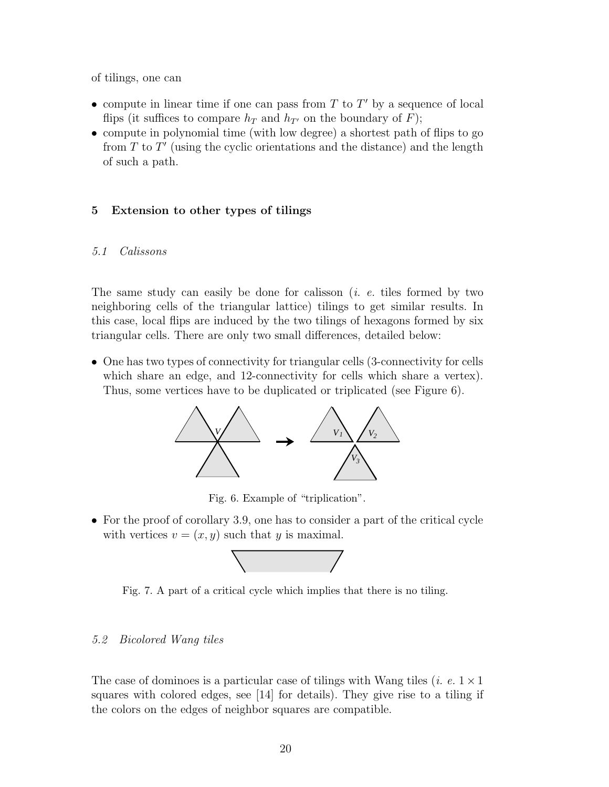of tilings, one can

- compute in linear time if one can pass from  $T$  to  $T'$  by a sequence of local flips (it suffices to compare  $h_T$  and  $h_{T}$  on the boundary of F);
- compute in polynomial time (with low degree) a shortest path of flips to go from  $T$  to  $T'$  (using the cyclic orientations and the distance) and the length of such a path.

## 5 Extension to other types of tilings

#### 5.1 Calissons

The same study can easily be done for calisson  $(i. e.$  tiles formed by two neighboring cells of the triangular lattice) tilings to get similar results. In this case, local flips are induced by the two tilings of hexagons formed by six triangular cells. There are only two small differences, detailed below:

• One has two types of connectivity for triangular cells (3-connectivity for cells which share an edge, and 12-connectivity for cells which share a vertex). Thus, some vertices have to be duplicated or triplicated (see Figure 6).



Fig. 6. Example of "triplication".

• For the proof of corollary 3.9, one has to consider a part of the critical cycle with vertices  $v = (x, y)$  such that y is maximal.



Fig. 7. A part of a critical cycle which implies that there is no tiling.

#### 5.2 Bicolored Wang tiles

The case of dominoes is a particular case of tilings with Wang tiles (*i. e.*  $1 \times 1$ ) squares with colored edges, see [14] for details). They give rise to a tiling if the colors on the edges of neighbor squares are compatible.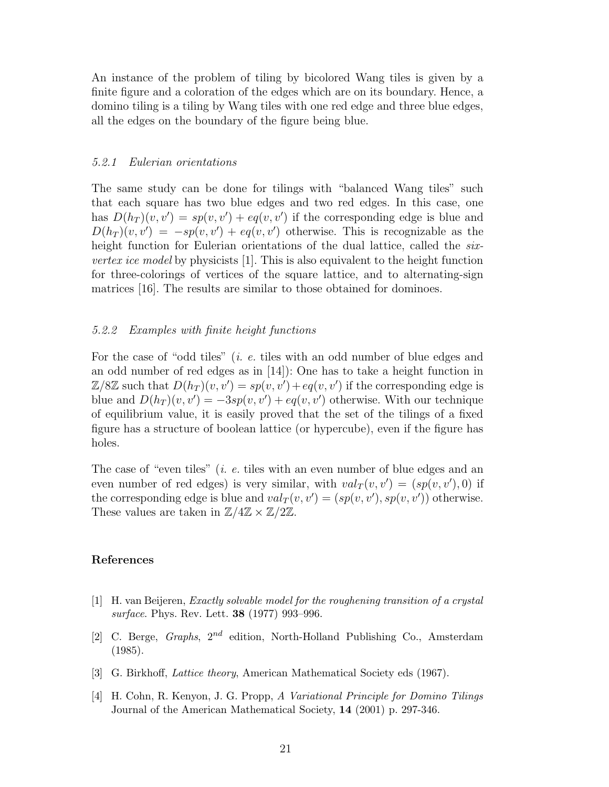An instance of the problem of tiling by bicolored Wang tiles is given by a finite figure and a coloration of the edges which are on its boundary. Hence, a domino tiling is a tiling by Wang tiles with one red edge and three blue edges, all the edges on the boundary of the figure being blue.

#### 5.2.1 Eulerian orientations

The same study can be done for tilings with "balanced Wang tiles" such that each square has two blue edges and two red edges. In this case, one has  $D(h_T)(v, v') = sp(v, v') + eq(v, v')$  if the corresponding edge is blue and  $D(h_T)(v, v') = -sp(v, v') + eq(v, v')$  otherwise. This is recognizable as the height function for Eulerian orientations of the dual lattice, called the sixvertex ice model by physicists [1]. This is also equivalent to the height function for three-colorings of vertices of the square lattice, and to alternating-sign matrices [16]. The results are similar to those obtained for dominoes.

#### 5.2.2 Examples with finite height functions

For the case of "odd tiles" *(i. e.* tiles with an odd number of blue edges and an odd number of red edges as in [14]): One has to take a height function in  $\mathbb{Z}/8\mathbb{Z}$  such that  $D(h_T)(v, v') = sp(v, v') + eq(v, v')$  if the corresponding edge is blue and  $D(h_T)(v, v') = -3sp(v, v') + eq(v, v')$  otherwise. With our technique of equilibrium value, it is easily proved that the set of the tilings of a fixed figure has a structure of boolean lattice (or hypercube), even if the figure has holes.

The case of "even tiles" (*i. e.* tiles with an even number of blue edges and an even number of red edges) is very similar, with  $val_T(v, v') = (sp(v, v'), 0)$  if the corresponding edge is blue and  $val_T(v, v') = (sp(v, v'), sp(v, v'))$  otherwise. These values are taken in  $\mathbb{Z}/4\mathbb{Z} \times \mathbb{Z}/2\mathbb{Z}$ .

#### References

- [1] H. van Beijeren, Exactly solvable model for the roughening transition of a crystal surface. Phys. Rev. Lett. 38 (1977) 993–996.
- [2] C. Berge, Graphs,  $2^{nd}$  edition, North-Holland Publishing Co., Amsterdam (1985).
- [3] G. Birkhoff, Lattice theory, American Mathematical Society eds (1967).
- [4] H. Cohn, R. Kenyon, J. G. Propp, A Variational Principle for Domino Tilings Journal of the American Mathematical Society, 14 (2001) p. 297-346.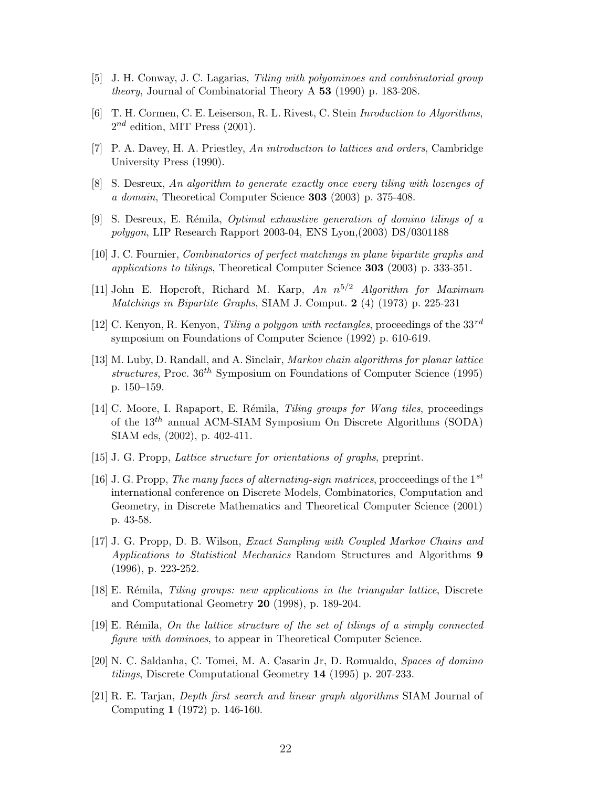- [5] J. H. Conway, J. C. Lagarias, Tiling with polyominoes and combinatorial group theory, Journal of Combinatorial Theory A 53 (1990) p. 183-208.
- [6] T. H. Cormen, C. E. Leiserson, R. L. Rivest, C. Stein Inroduction to Algorithms,  $2^{nd}$  edition, MIT Press (2001).
- [7] P. A. Davey, H. A. Priestley, An introduction to lattices and orders, Cambridge University Press (1990).
- [8] S. Desreux, An algorithm to generate exactly once every tiling with lozenges of a domain, Theoretical Computer Science 303 (2003) p. 375-408.
- [9] S. Desreux, E. Rémila, *Optimal exhaustive generation of domino tilings of a* polygon, LIP Research Rapport 2003-04, ENS Lyon,(2003) DS/0301188
- [10] J. C. Fournier, Combinatorics of perfect matchings in plane bipartite graphs and applications to tilings, Theoretical Computer Science 303 (2003) p. 333-351.
- [11] John E. Hopcroft, Richard M. Karp, An  $n^{5/2}$  Algorithm for Maximum Matchings in Bipartite Graphs, SIAM J. Comput. 2 (4) (1973) p. 225-231
- [12] C. Kenyon, R. Kenyon, *Tiling a polygon with rectangles*, proceedings of the  $33^{rd}$ symposium on Foundations of Computer Science (1992) p. 610-619.
- [13] M. Luby, D. Randall, and A. Sinclair, *Markov chain algorithms for planar lattice* structures, Proc.  $36^{th}$  Symposium on Foundations of Computer Science (1995) p. 150–159.
- [14] C. Moore, I. Rapaport, E. Rémila, *Tiling groups for Wang tiles*, proceedings of the  $13<sup>th</sup>$  annual ACM-SIAM Symposium On Discrete Algorithms (SODA) SIAM eds, (2002), p. 402-411.
- [15] J. G. Propp, Lattice structure for orientations of graphs, preprint.
- [16] J. G. Propp, The many faces of alternating-sign matrices, procceedings of the  $1^{st}$ international conference on Discrete Models, Combinatorics, Computation and Geometry, in Discrete Mathematics and Theoretical Computer Science (2001) p. 43-58.
- [17] J. G. Propp, D. B. Wilson, Exact Sampling with Coupled Markov Chains and Applications to Statistical Mechanics Random Structures and Algorithms 9 (1996), p. 223-252.
- [18] E. Rémila, *Tiling groups: new applications in the triangular lattice*, Discrete and Computational Geometry 20 (1998), p. 189-204.
- [19] E. Rémila, On the lattice structure of the set of tilings of a simply connected figure with dominoes, to appear in Theoretical Computer Science.
- [20] N. C. Saldanha, C. Tomei, M. A. Casarin Jr, D. Romualdo, Spaces of domino tilings, Discrete Computational Geometry 14 (1995) p. 207-233.
- [21] R. E. Tarjan, Depth first search and linear graph algorithms SIAM Journal of Computing 1 (1972) p. 146-160.